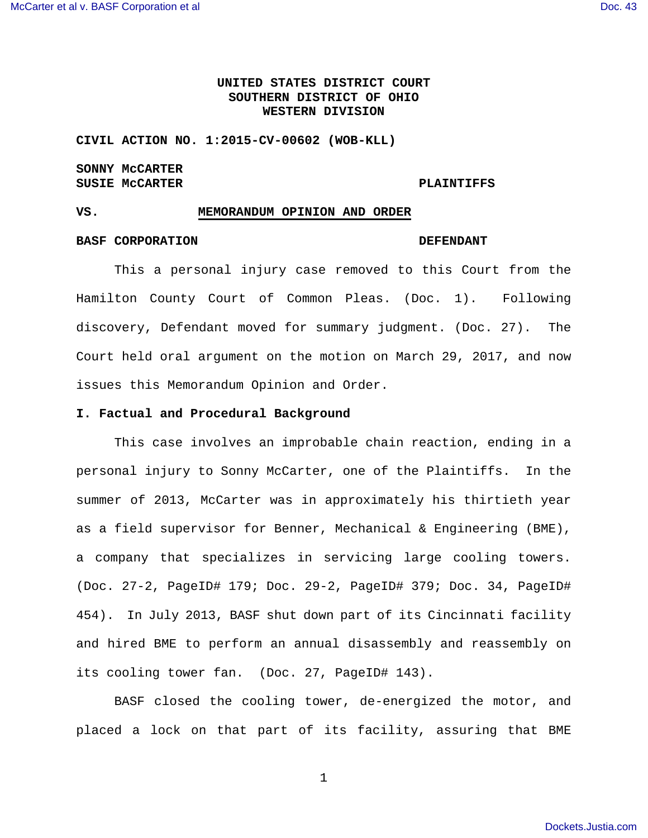# **UNITED STATES DISTRICT COURT SOUTHERN DISTRICT OF OHIO WESTERN DIVISION**

**CIVIL ACTION NO. 1:2015-CV-00602 (WOB-KLL)** 

# **SONNY McCARTER**  SUSIE MCCARTER **PLAINTIFFS**

#### **VS. MEMORANDUM OPINION AND ORDER**

## **BASF CORPORATION DEFENDANT**

 This a personal injury case removed to this Court from the Hamilton County Court of Common Pleas. (Doc. 1). Following discovery, Defendant moved for summary judgment. (Doc. 27). The Court held oral argument on the motion on March 29, 2017, and now issues this Memorandum Opinion and Order.

### **I. Factual and Procedural Background**

This case involves an improbable chain reaction, ending in a personal injury to Sonny McCarter, one of the Plaintiffs. In the summer of 2013, McCarter was in approximately his thirtieth year as a field supervisor for Benner, Mechanical & Engineering (BME), a company that specializes in servicing large cooling towers. (Doc. 27-2, PageID# 179; Doc. 29-2, PageID# 379; Doc. 34, PageID# 454). In July 2013, BASF shut down part of its Cincinnati facility and hired BME to perform an annual disassembly and reassembly on its cooling tower fan. (Doc. 27, PageID# 143).

 BASF closed the cooling tower, de-energized the motor, and placed a lock on that part of its facility, assuring that BME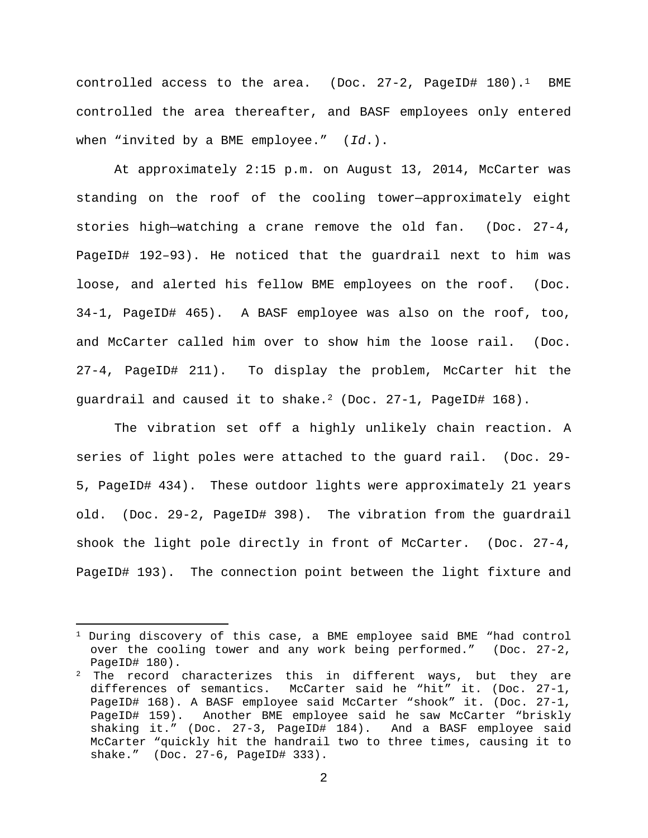controlled access to the area. (Doc. 27-2, PageID# 180).<sup>1</sup> BME controlled the area thereafter, and BASF employees only entered when "invited by a BME employee."  $(Id.)$ .

 At approximately 2:15 p.m. on August 13, 2014, McCarter was standing on the roof of the cooling tower—approximately eight stories high—watching a crane remove the old fan. (Doc. 27-4, PageID# 192–93). He noticed that the guardrail next to him was loose, and alerted his fellow BME employees on the roof. (Doc. 34-1, PageID# 465). A BASF employee was also on the roof, too, and McCarter called him over to show him the loose rail. (Doc. 27-4, PageID# 211). To display the problem, McCarter hit the guardrail and caused it to shake.<sup>2</sup> (Doc.  $27-1$ , PageID# 168).

 The vibration set off a highly unlikely chain reaction. A series of light poles were attached to the guard rail. (Doc. 29- 5, PageID# 434). These outdoor lights were approximately 21 years old. (Doc. 29-2, PageID# 398). The vibration from the guardrail shook the light pole directly in front of McCarter. (Doc. 27-4, PageID# 193). The connection point between the light fixture and

 $\overline{a}$ 

 $1$  During discovery of this case, a BME employee said BME "had control over the cooling tower and any work being performed." (Doc. 27-2, PageID# 180).

 $2$  The record characterizes this in different ways, but they are differences of semantics. McCarter said he "hit" it. (Doc. 27-1, PageID# 168). A BASF employee said McCarter "shook" it. (Doc. 27-1, PageID# 159). Another BME employee said he saw McCarter "briskly shaking it." (Doc. 27-3, PageID# 184). And a BASF employee said McCarter "quickly hit the handrail two to three times, causing it to shake." (Doc. 27-6, PageID# 333).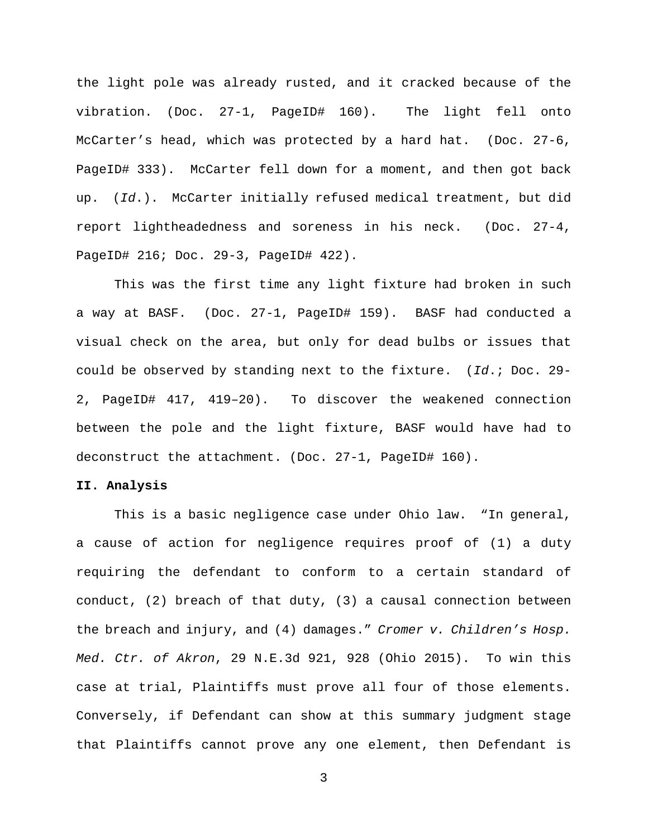the light pole was already rusted, and it cracked because of the vibration. (Doc. 27-1, PageID# 160). The light fell onto McCarter's head, which was protected by a hard hat. (Doc. 27-6, PageID# 333). McCarter fell down for a moment, and then got back up. (Id.). McCarter initially refused medical treatment, but did report lightheadedness and soreness in his neck. (Doc. 27-4, PageID# 216; Doc. 29-3, PageID# 422).

 This was the first time any light fixture had broken in such a way at BASF. (Doc. 27-1, PageID# 159). BASF had conducted a visual check on the area, but only for dead bulbs or issues that could be observed by standing next to the fixture. (Id.; Doc. 29- 2, PageID# 417, 419–20). To discover the weakened connection between the pole and the light fixture, BASF would have had to deconstruct the attachment. (Doc. 27-1, PageID# 160).

#### **II. Analysis**

 This is a basic negligence case under Ohio law. "In general, a cause of action for negligence requires proof of (1) a duty requiring the defendant to conform to a certain standard of conduct, (2) breach of that duty, (3) a causal connection between the breach and injury, and (4) damages." Cromer v. Children's Hosp. Med. Ctr. of Akron, 29 N.E.3d 921, 928 (Ohio 2015). To win this case at trial, Plaintiffs must prove all four of those elements. Conversely, if Defendant can show at this summary judgment stage that Plaintiffs cannot prove any one element, then Defendant is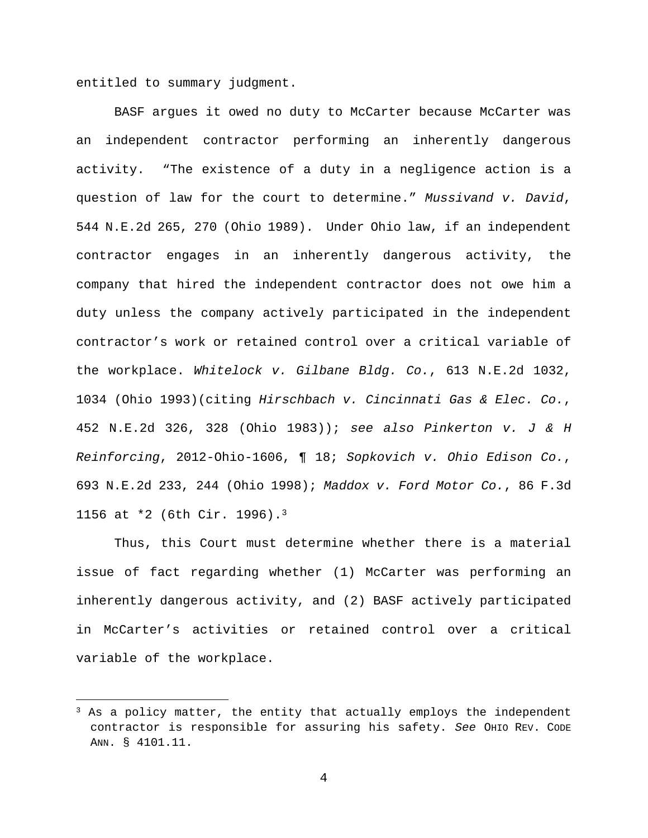entitled to summary judgment.

 $\overline{a}$ 

BASF argues it owed no duty to McCarter because McCarter was an independent contractor performing an inherently dangerous activity. "The existence of a duty in a negligence action is a question of law for the court to determine." Mussivand v. David, 544 N.E.2d 265, 270 (Ohio 1989). Under Ohio law, if an independent contractor engages in an inherently dangerous activity, the company that hired the independent contractor does not owe him a duty unless the company actively participated in the independent contractor's work or retained control over a critical variable of the workplace. Whitelock v. Gilbane Bldg. Co., 613 N.E.2d 1032, 1034 (Ohio 1993)(citing Hirschbach v. Cincinnati Gas & Elec. Co., 452 N.E.2d 326, 328 (Ohio 1983)); see also Pinkerton v. J & H Reinforcing, 2012-Ohio-1606, ¶ 18; Sopkovich v. Ohio Edison Co., 693 N.E.2d 233, 244 (Ohio 1998); Maddox v. Ford Motor Co., 86 F.3d 1156 at \*2 (6th Cir. 1996).<sup>3</sup>

Thus, this Court must determine whether there is a material issue of fact regarding whether (1) McCarter was performing an inherently dangerous activity, and (2) BASF actively participated in McCarter's activities or retained control over a critical variable of the workplace.

 $3$  As a policy matter, the entity that actually employs the independent contractor is responsible for assuring his safety. See OHIO REV. CODE ANN. § 4101.11.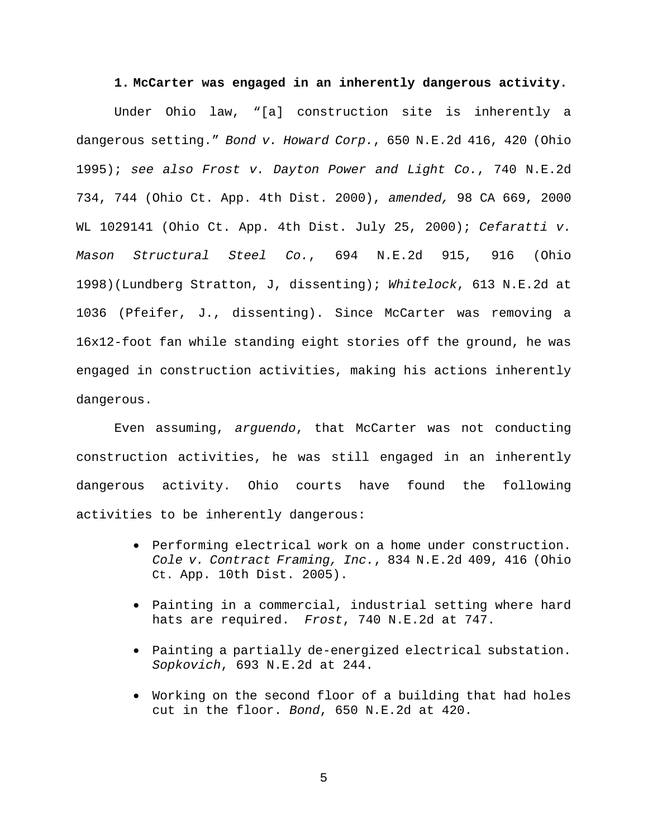#### **1. McCarter was engaged in an inherently dangerous activity.**

Under Ohio law, "[a] construction site is inherently a dangerous setting." Bond v. Howard Corp., 650 N.E.2d 416, 420 (Ohio 1995); see also Frost v. Dayton Power and Light Co., 740 N.E.2d 734, 744 (Ohio Ct. App. 4th Dist. 2000), amended, 98 CA 669, 2000 WL 1029141 (Ohio Ct. App. 4th Dist. July 25, 2000); Cefaratti v. Mason Structural Steel Co., 694 N.E.2d 915, 916 (Ohio 1998)(Lundberg Stratton, J, dissenting); Whitelock, 613 N.E.2d at 1036 (Pfeifer, J., dissenting). Since McCarter was removing a 16x12-foot fan while standing eight stories off the ground, he was engaged in construction activities, making his actions inherently dangerous.

Even assuming, arguendo, that McCarter was not conducting construction activities, he was still engaged in an inherently dangerous activity. Ohio courts have found the following activities to be inherently dangerous:

- Performing electrical work on a home under construction. Cole v. Contract Framing, Inc., 834 N.E.2d 409, 416 (Ohio Ct. App. 10th Dist. 2005).
- Painting in a commercial, industrial setting where hard hats are required. Frost, 740 N.E.2d at 747.
- Painting a partially de-energized electrical substation. Sopkovich, 693 N.E.2d at 244.
- Working on the second floor of a building that had holes cut in the floor. Bond, 650 N.E.2d at 420.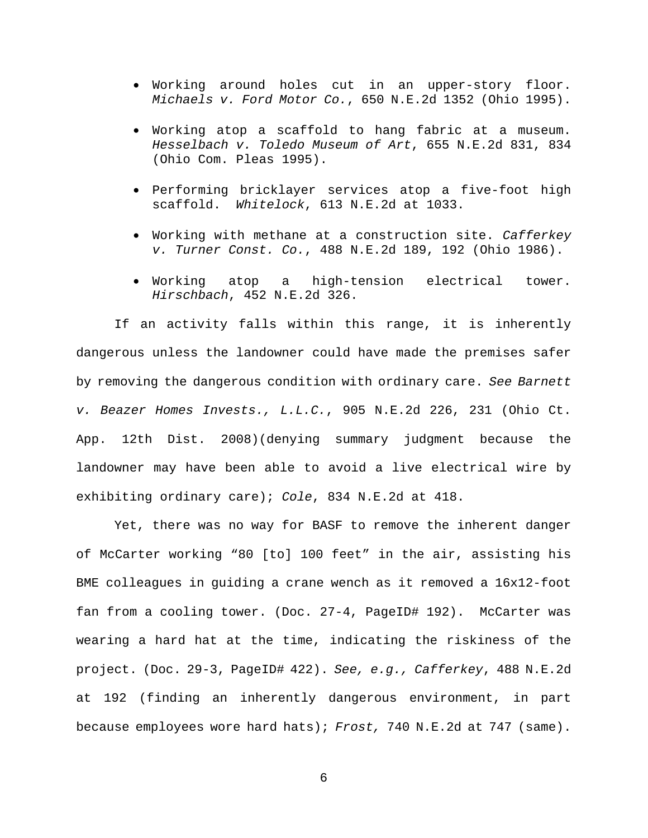- Working around holes cut in an upper-story floor. Michaels v. Ford Motor Co., 650 N.E.2d 1352 (Ohio 1995).
- Working atop a scaffold to hang fabric at a museum. Hesselbach v. Toledo Museum of Art, 655 N.E.2d 831, 834 (Ohio Com. Pleas 1995).
- Performing bricklayer services atop a five-foot high scaffold. Whitelock, 613 N.E.2d at 1033.
- Working with methane at a construction site. Cafferkey v. Turner Const. Co., 488 N.E.2d 189, 192 (Ohio 1986).
- Working atop a high-tension electrical tower. Hirschbach, 452 N.E.2d 326.

If an activity falls within this range, it is inherently dangerous unless the landowner could have made the premises safer by removing the dangerous condition with ordinary care. See Barnett v. Beazer Homes Invests., L.L.C., 905 N.E.2d 226, 231 (Ohio Ct. App. 12th Dist. 2008)(denying summary judgment because the landowner may have been able to avoid a live electrical wire by exhibiting ordinary care); Cole, 834 N.E.2d at 418.

Yet, there was no way for BASF to remove the inherent danger of McCarter working "80 [to] 100 feet" in the air, assisting his BME colleagues in guiding a crane wench as it removed a 16x12-foot fan from a cooling tower. (Doc. 27-4, PageID# 192). McCarter was wearing a hard hat at the time, indicating the riskiness of the project. (Doc. 29-3, PageID# 422). See, e.g., Cafferkey, 488 N.E.2d at 192 (finding an inherently dangerous environment, in part because employees wore hard hats); Frost, 740 N.E.2d at 747 (same).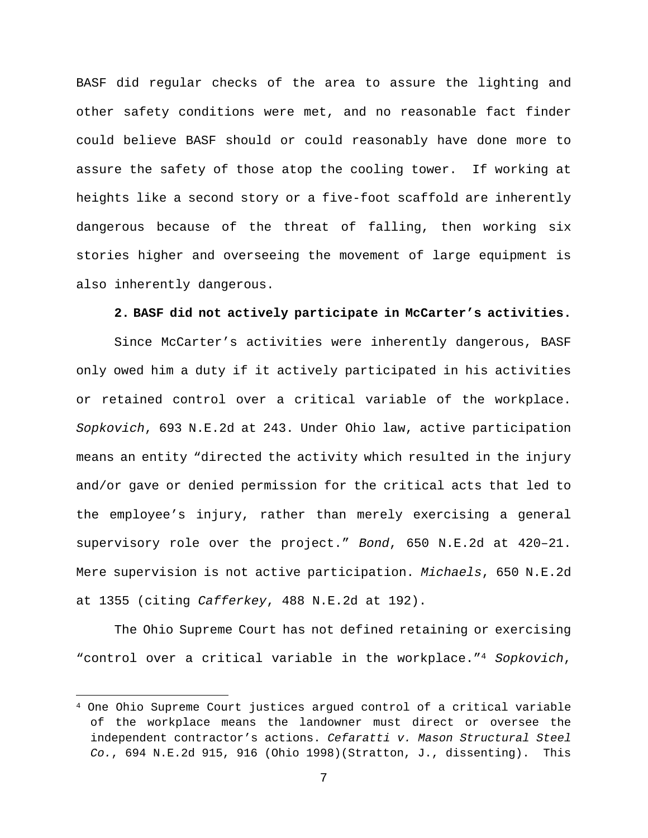BASF did regular checks of the area to assure the lighting and other safety conditions were met, and no reasonable fact finder could believe BASF should or could reasonably have done more to assure the safety of those atop the cooling tower. If working at heights like a second story or a five-foot scaffold are inherently dangerous because of the threat of falling, then working six stories higher and overseeing the movement of large equipment is also inherently dangerous.

### **2. BASF did not actively participate in McCarter's activities.**

Since McCarter's activities were inherently dangerous, BASF only owed him a duty if it actively participated in his activities or retained control over a critical variable of the workplace. Sopkovich, 693 N.E.2d at 243. Under Ohio law, active participation means an entity "directed the activity which resulted in the injury and/or gave or denied permission for the critical acts that led to the employee's injury, rather than merely exercising a general supervisory role over the project." Bond, 650 N.E.2d at 420–21. Mere supervision is not active participation. Michaels, 650 N.E.2d at 1355 (citing Cafferkey, 488 N.E.2d at 192).

The Ohio Supreme Court has not defined retaining or exercising "control over a critical variable in the workplace."<sup>4</sup> Sopkovich,

 $\overline{a}$ 

<sup>4</sup> One Ohio Supreme Court justices argued control of a critical variable of the workplace means the landowner must direct or oversee the independent contractor's actions. Cefaratti v. Mason Structural Steel Co., 694 N.E.2d 915, 916 (Ohio 1998)(Stratton, J., dissenting). This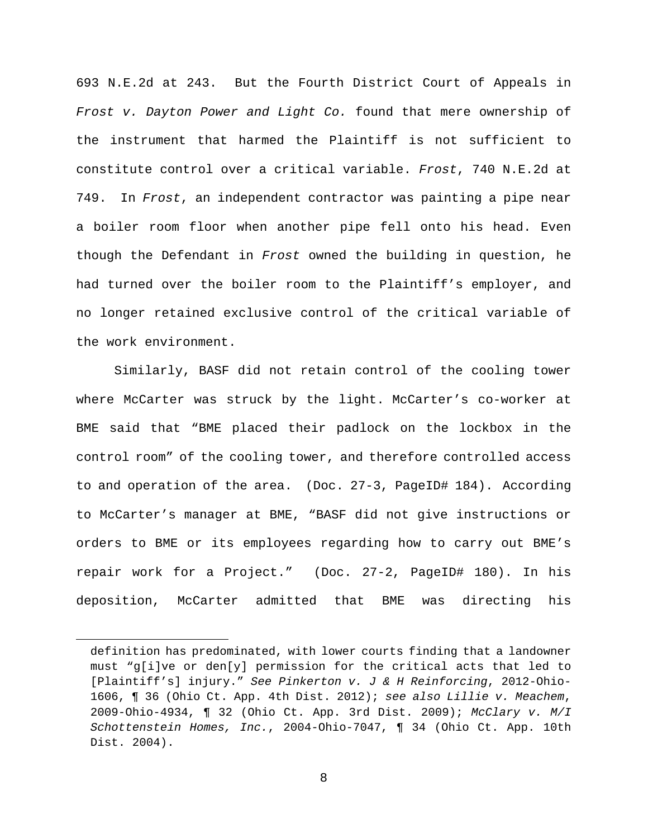693 N.E.2d at 243. But the Fourth District Court of Appeals in Frost v. Dayton Power and Light Co. found that mere ownership of the instrument that harmed the Plaintiff is not sufficient to constitute control over a critical variable. Frost, 740 N.E.2d at 749. In Frost, an independent contractor was painting a pipe near a boiler room floor when another pipe fell onto his head. Even though the Defendant in Frost owned the building in question, he had turned over the boiler room to the Plaintiff's employer, and no longer retained exclusive control of the critical variable of the work environment.

Similarly, BASF did not retain control of the cooling tower where McCarter was struck by the light. McCarter's co-worker at BME said that "BME placed their padlock on the lockbox in the control room" of the cooling tower, and therefore controlled access to and operation of the area. (Doc. 27-3, PageID# 184). According to McCarter's manager at BME, "BASF did not give instructions or orders to BME or its employees regarding how to carry out BME's repair work for a Project." (Doc. 27-2, PageID# 180). In his deposition, McCarter admitted that BME was directing his

 $\overline{a}$ 

definition has predominated, with lower courts finding that a landowner must "g[i]ve or den[y] permission for the critical acts that led to [Plaintiff's] injury." See Pinkerton v. J & H Reinforcing, 2012-Ohio-1606, ¶ 36 (Ohio Ct. App. 4th Dist. 2012); see also Lillie v. Meachem, 2009-Ohio-4934, ¶ 32 (Ohio Ct. App. 3rd Dist. 2009); McClary v. M/I Schottenstein Homes, Inc., 2004-Ohio-7047, ¶ 34 (Ohio Ct. App. 10th Dist. 2004).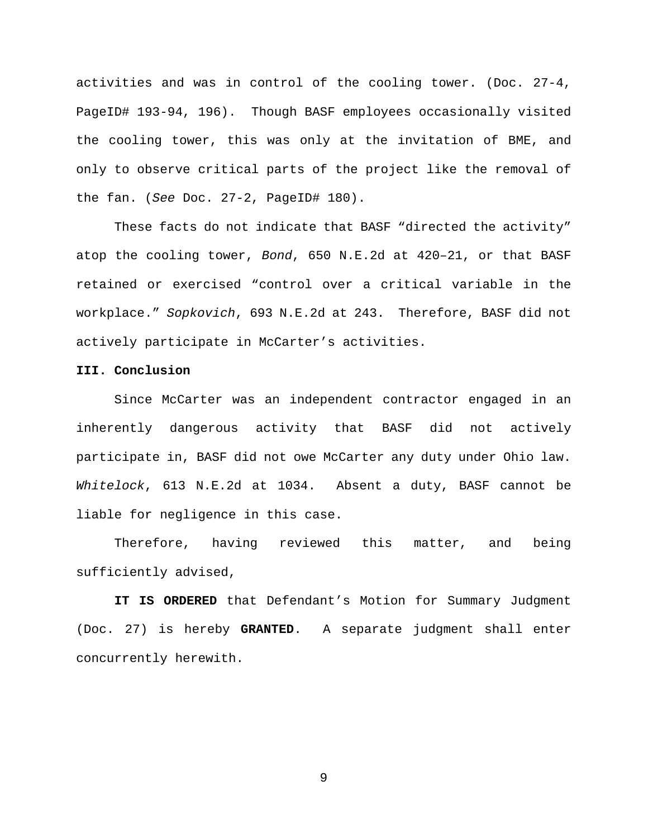activities and was in control of the cooling tower. (Doc. 27-4, PageID# 193-94, 196). Though BASF employees occasionally visited the cooling tower, this was only at the invitation of BME, and only to observe critical parts of the project like the removal of the fan. (See Doc. 27-2, PageID# 180).

These facts do not indicate that BASF "directed the activity" atop the cooling tower, Bond, 650 N.E.2d at 420–21, or that BASF retained or exercised "control over a critical variable in the workplace." Sopkovich, 693 N.E.2d at 243. Therefore, BASF did not actively participate in McCarter's activities.

## **III. Conclusion**

Since McCarter was an independent contractor engaged in an inherently dangerous activity that BASF did not actively participate in, BASF did not owe McCarter any duty under Ohio law. Whitelock, 613 N.E.2d at 1034. Absent a duty, BASF cannot be liable for negligence in this case.

Therefore, having reviewed this matter, and being sufficiently advised,

**IT IS ORDERED** that Defendant's Motion for Summary Judgment (Doc. 27) is hereby **GRANTED**. A separate judgment shall enter concurrently herewith.